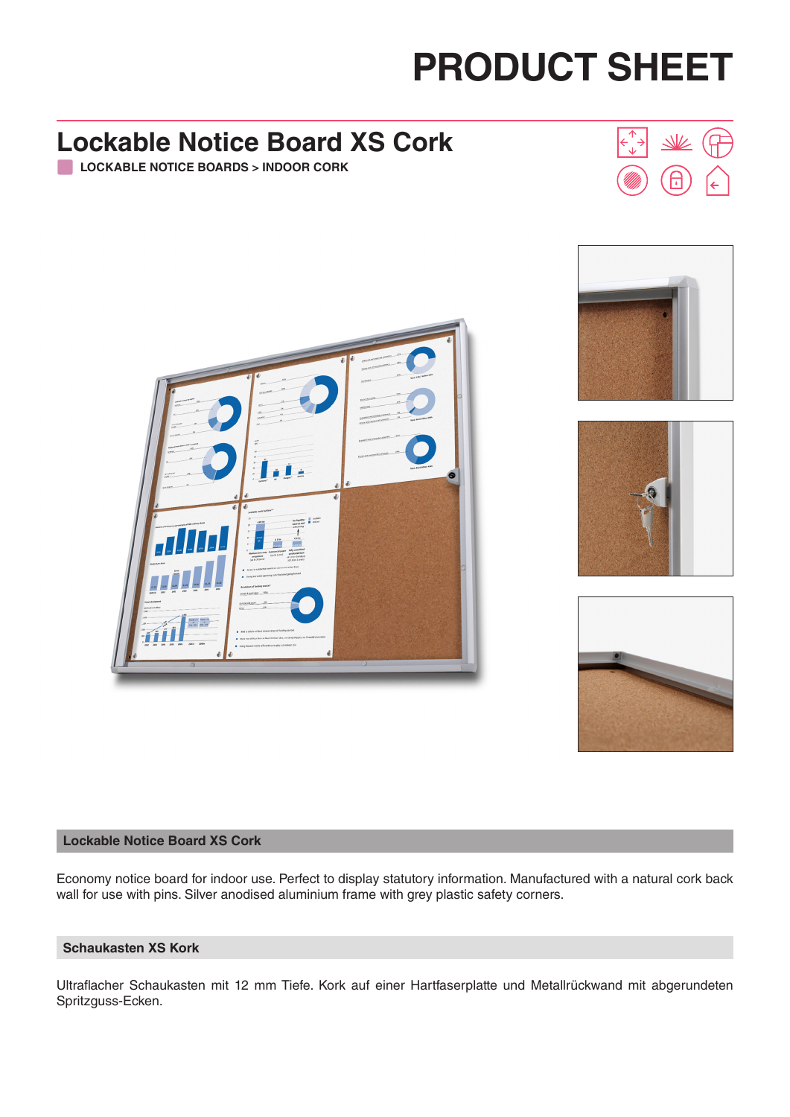# **PRODUCT SHEET**

#### **Lockable Notice Board XS Cork LOCKABLE NOTICE BOARDS > INDOOR CORK**











#### **Lockable Notice Board XS Cork**

Economy notice board for indoor use. Perfect to display statutory information. Manufactured with a natural cork back wall for use with pins. Silver anodised aluminium frame with grey plastic safety corners.

#### **Schaukasten XS Kork**

Ultraflacher Schaukasten mit 12 mm Tiefe. Kork auf einer Hartfaserplatte und Metallrückwand mit abgerundeten Spritzguss-Ecken.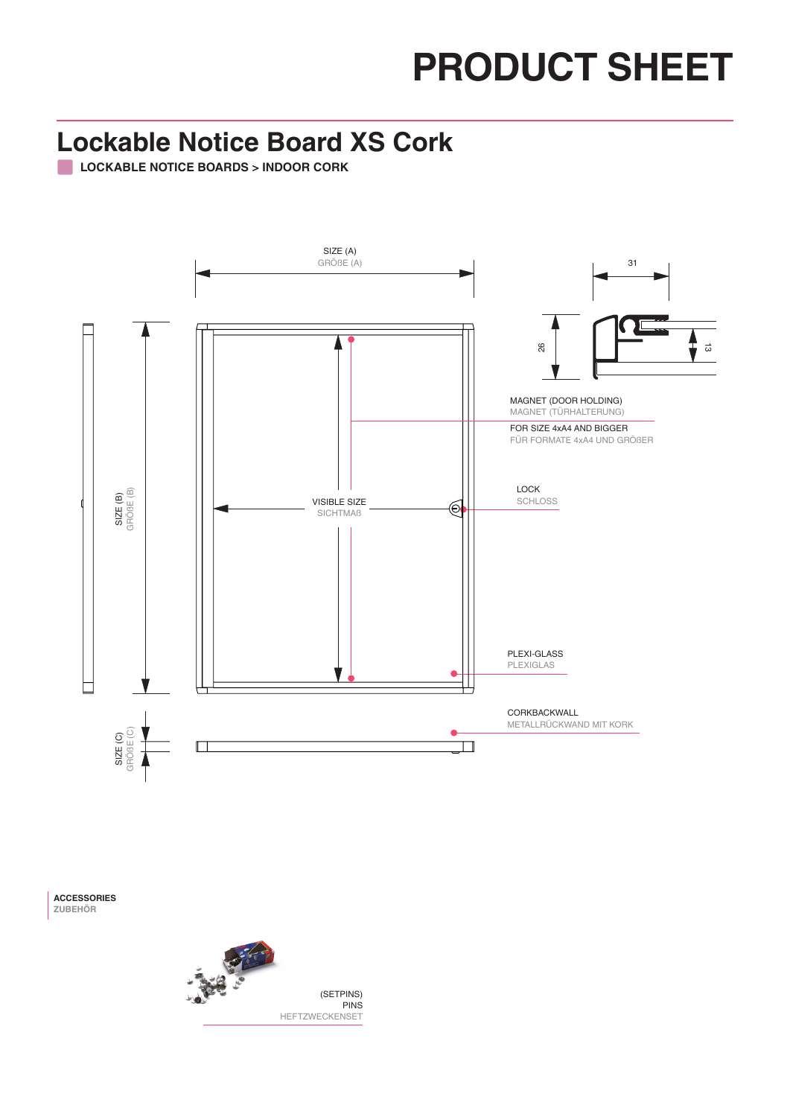## **PRODUCT SHEET**

### **Lockable Notice Board XS Cork**

**LOCKABLE NOTICE BOARDS > INDOOR CORK**



**ACCESSORIES ZUBEHÖR**